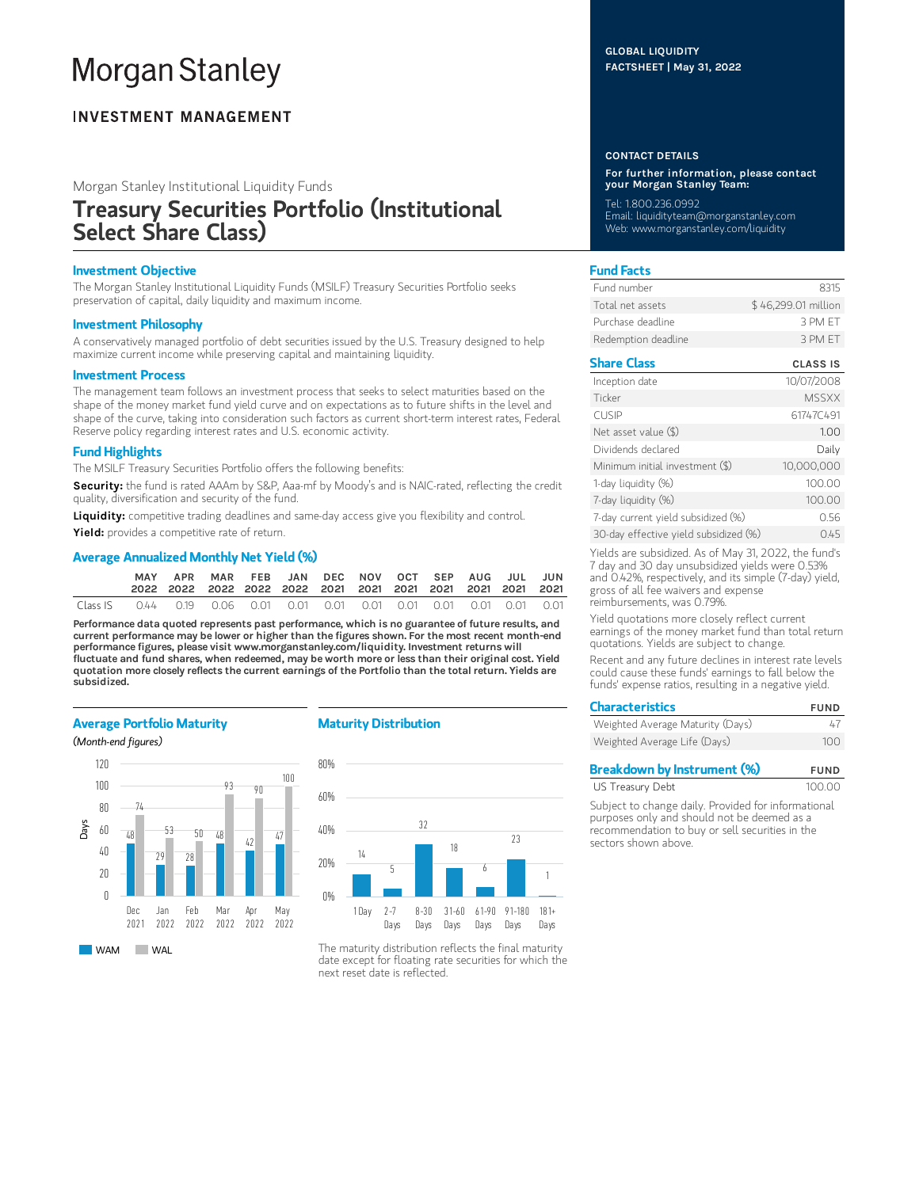# **Morgan Stanley**

# **INVESTMENT MANAGEMENT**

Morgan Stanley Institutional Liquidity Funds

# Treasury Securities Portfolio (Institutional Select Share Class)

# Investment Objective

The Morgan Stanley Institutional Liquidity Funds (MSILF) Treasury Securities Portfolio seeks preservation of capital, daily liquidity and maximum income.

# Investment Philosophy

A conservatively managed portfolio of debt securities issued by the U.S. Treasury designed to help maximize current income while preserving capital and maintaining liquidity.

# Investment Process

The management team follows an investment process that seeks to select maturities based on the shape of the money market fund yield curve and on expectations as to future shifts in the level and shape of the curve, taking into consideration such factors as current short-term interest rates, Federal Reserve policy regarding interest rates and U.S. economic activity.

# Fund Highlights

The MSILF Treasury Securities Portfolio offers the following benefits:

Security: the fund is rated AAAm by S&P, Aaa-mf by Moody's and is NAIC-rated, reflecting the credit quality, diversification and security of the fund.

Liquidity: competitive trading deadlines and same-day access give you flexibility and control.

Yield: provides a competitive rate of return.

# Average Annualized Monthly Net Yield (%)

|          | APR |  | MAR FEB JAN DEC NOV OCT SEP AUG JUL JUN |  |  |  |  |
|----------|-----|--|-----------------------------------------|--|--|--|--|
| Class IS |     |  |                                         |  |  |  |  |

Performance data quoted represents past performance, which is no guarantee of future results, and current performance may be lower or higher than the figures shown. For the most recent month-end performance figures, please visit www.morganstanley.com/liquidity. Investment returns will fluctuate and fund shares, when redeemed, may be worth more or less than their original cost. Yield quotation more closely reflects the current earnings of the Portfolio than the total return. Yields are subsidized.

# Average Portfolio Maturity

## (Month-end figures)



# Maturity Distribution



The maturity distribution reflects the final maturity date except for floating rate securities for which the next reset date is reflected.

# GLOBAL LIQUIDITY FACTSHEET | May 31, 2022

#### CONTACT DETAILS

For further information, please contact your Morgan Stanley Team:

Tel: 1.800.236.0992 Email: liquidityteam@morganstanley.com Web: www.morganstanley.com/liquidity

# Fund Facts

| Fund number         | 8315                |
|---------------------|---------------------|
| Total net assets    | \$46,299.01 million |
| Purchase deadline.  | 3 PM FT             |
| Redemption deadline | 3 PM FT             |

# Share Class CLASS IS

| Inception date                        | 10/07/2008   |
|---------------------------------------|--------------|
| Ticker                                | <b>MSSXX</b> |
| <b>CUSIP</b>                          | 61747C491    |
| Net asset value $(\$)$                | 1.00         |
| Dividends declared                    | Daily        |
| Minimum initial investment (\$)       | 10,000,000   |
| 1-day liquidity (%)                   | 100.00       |
| 7-day liquidity (%)                   | 100.00       |
| 7-day current yield subsidized (%)    | 0.56         |
| 30-day effective yield subsidized (%) | 0.45         |

Yields are subsidized. As of May 31, 2022, the fund's 7 day and 30 day unsubsidized yields were 0.53% and 0.42%, respectively, and its simple (7-day) yield, gross of all fee waivers and expense reimbursements, was 0.79%.

Yield quotations more closely reflect current earnings of the money market fund than total return quotations. Yields are subject to change.

Recent and any future declines in interest rate levels could cause these funds' earnings to fall below the funds' expense ratios, resulting in a negative yield.

| <b>Characteristics</b>           | <b>FUND</b> |  |  |
|----------------------------------|-------------|--|--|
| Weighted Average Maturity (Days) | 47          |  |  |
| Weighted Average Life (Days)     | 100         |  |  |

| <b>Breakdown by Instrument (%)</b> | <b>FUND</b> |
|------------------------------------|-------------|
| US Treasury Debt                   | 100.00      |

Subject to change daily. Provided for informational purposes only and should not be deemed as a recommendation to buy or sell securities in the sectors shown above.